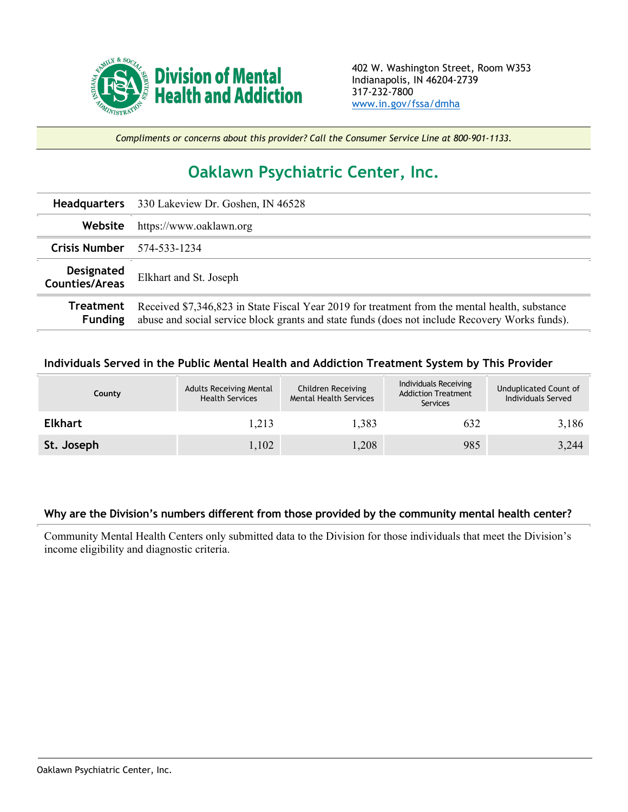

*Compliments or concerns about this provider? Call the Consumer Service Line at 800-901-1133.*

## **Oaklawn Psychiatric Center, Inc.**

| <b>Headquarters</b>                 | 330 Lakeview Dr. Goshen, IN 46528                                                                                                                                                                |  |  |  |
|-------------------------------------|--------------------------------------------------------------------------------------------------------------------------------------------------------------------------------------------------|--|--|--|
| Website                             | https://www.oaklawn.org                                                                                                                                                                          |  |  |  |
| Crisis Number $574-533-1234$        |                                                                                                                                                                                                  |  |  |  |
| Designated<br><b>Counties/Areas</b> | Elkhart and St. Joseph                                                                                                                                                                           |  |  |  |
| Treatment<br><b>Funding</b>         | Received \$7,346,823 in State Fiscal Year 2019 for treatment from the mental health, substance<br>abuse and social service block grants and state funds (does not include Recovery Works funds). |  |  |  |

## **Individuals Served in the Public Mental Health and Addiction Treatment System by This Provider**

| County         | <b>Adults Receiving Mental</b><br><b>Health Services</b> | Children Receiving<br><b>Mental Health Services</b> | Individuals Receiving<br><b>Addiction Treatment</b><br>Services | Unduplicated Count of<br>Individuals Served |
|----------------|----------------------------------------------------------|-----------------------------------------------------|-----------------------------------------------------------------|---------------------------------------------|
| <b>Elkhart</b> | 1,213                                                    | 1,383                                               | 632                                                             | 3,186                                       |
| St. Joseph     | 1,102                                                    | 1,208                                               | 985                                                             | 3,244                                       |

## **Why are the Division's numbers different from those provided by the community mental health center?**

Community Mental Health Centers only submitted data to the Division for those individuals that meet the Division's income eligibility and diagnostic criteria.